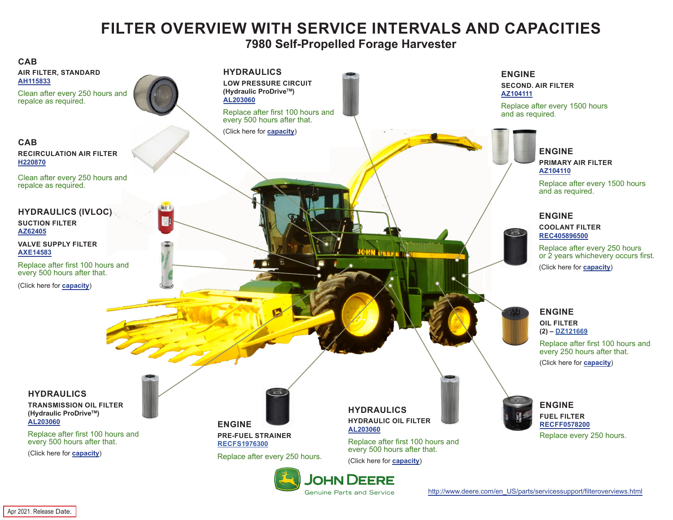## **FILTER OVERVIEW WITH SERVICE INTERVALS AND CAPACITIES**

**7980 Self-Propelled Forage Harvester**

<span id="page-0-0"></span>

Apr 2021. Release Date.